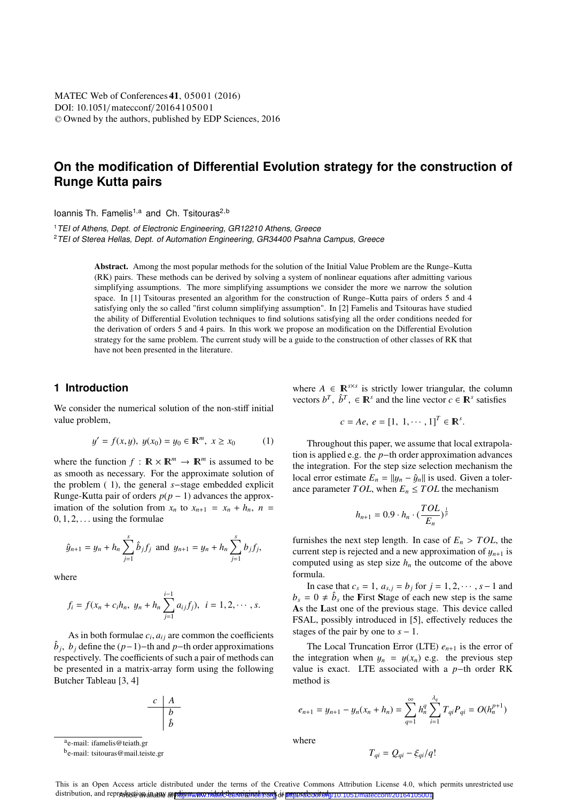# **On the modification of Differential Evolution strategy for the construction of Runge Kutta pairs**

loannis Th. Famelis<sup>1,a</sup> and Ch. Tsitouras<sup>2,b</sup>

<sup>1</sup>TEI of Athens, Dept. of Electronic Engineering, GR12210 Athens, Greece TEI of Stores Hollas, Dont, of Automation Engineering, GR24400 Beaboa TEI of Sterea Hellas, Dept. of Automation Engineering, GR34400 Psahna Campus, Greece

> Abstract. Among the most popular methods for the solution of the Initial Value Problem are the Runge–Kutta (RK) pairs. These methods can be derived by solving a system of nonlinear equations after admitting various simplifying assumptions. The more simplifying assumptions we consider the more we narrow the solution space. In [1] Tsitouras presented an algorithm for the construction of Runge–Kutta pairs of orders 5 and 4 satisfying only the so called "first column simplifying assumption". In [2] Famelis and Tsitouras have studied the ability of Differential Evolution techniques to find solutions satisfying all the order conditions needed for the derivation of orders 5 and 4 pairs. In this work we propose an modification on the Differential Evolution strategy for the same problem. The current study will be a guide to the construction of other classes of RK that have not been presented in the literature.

# **1 Introduction**

We consider the numerical solution of the non-stiff initial value problem,

$$
y' = f(x, y), \ y(x_0) = y_0 \in \mathbb{R}^m, \ x \ge x_0 \tag{1}
$$

where the function  $f : \mathbb{R} \times \mathbb{R}^m \to \mathbb{R}^m$  is assumed to be as smooth as necessary. For the approximate solution of the problem ( 1), the general *s*−stage embedded explicit Runge-Kutta pair of orders  $p(p - 1)$  advances the approximation of the solution from  $x_n$  to  $x_{n+1} = x_n + h_n$ ,  $n =$  $0, 1, 2, \ldots$  using the formulae

$$
\hat{y}_{n+1} = y_n + h_n \sum_{j=1}^s \hat{b}_j f_j
$$
 and  $y_{n+1} = y_n + h_n \sum_{j=1}^s b_j f_j$ ,

where

$$
f_i = f(x_n + c_i h_n, y_n + h_n \sum_{j=1}^{i-1} a_{ij} f_j), i = 1, 2, \cdots, s.
$$

As in both formulae  $c_i$ ,  $a_{ij}$  are common the coefficients  $\hat{b}_j$ ,  $b_j$  define the ( $p-1$ )−th and  $p$ −th order approximations respectively. The coefficients of such a pair of methods can be presented in a matrix-array form using the following Butcher Tableau [3, 4]

> *c A b b*ˆ

ae-mail: ifamelis@teiath.gr

be-mail: tsitouras@mail.teiste.gr

where  $A \in \mathbb{R}^{s \times s}$  is strictly lower triangular, the column vectors  $b^T$ ,  $\hat{b}^T$ ,  $\in \mathbb{R}^s$  and the line vector  $c \in \mathbb{R}^s$  satisfies

$$
c = Ae, e = [1, 1, \cdots, 1]^T \in \mathbb{R}^s
$$
.

Throughout this paper, we assume that local extrapolation is applied e.g. the *p*−th order approximation advances the integration. For the step size selection mechanism the local error estimate  $E_n = ||y_n - \hat{y}_n||$  is used. Given a tolerance parameter *TOL*, when  $E_n \leq TOL$  the mechanism

$$
h_{n+1} = 0.9 \cdot h_n \cdot \left(\frac{TOL}{E_n}\right)^{\frac{1}{p}}
$$

furnishes the next step length. In case of  $E_n > TOL$ , the current step is rejected and a new approximation of  $y_{n+1}$  is computed using as step size  $h_n$  the outcome of the above formula.

In case that  $c_s = 1$ ,  $a_{s,j} = b_j$  for  $j = 1, 2, \dots, s - 1$  and  $b_s = 0 \neq \hat{b}_s$  the First Stage of each new step is the same As the Last one of the previous stage. This device called FSAL, possibly introduced in [5], effectively reduces the stages of the pair by one to  $s - 1$ .

The Local Truncation Error (LTE)  $e_{n+1}$  is the error of the integration when  $y_n = y(x_n)$  e.g. the previous step value is exact. LTE associated with a *p*−th order RK method is

$$
e_{n+1} = y_{n+1} - y_n(x_n + h_n) = \sum_{q=1}^{\infty} h_n^q \sum_{i=1}^{\lambda_q} T_{qi} P_{qi} = O(h_n^{p+1})
$$

where

$$
T_{qi} = Q_{qi} - \xi_{qi}/q!
$$

This is an Open Access article distributed under the terms of the Creative Commons Attribution License 4.0, which permits unrestricted use distribution, and reproduction in any medium, provided the ordernal work of properly cited. (10.1051/matecconf/20164105001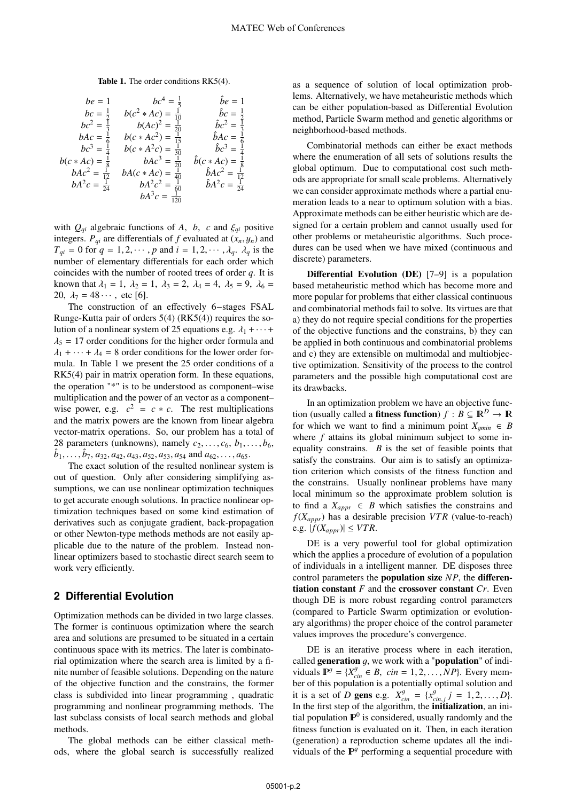#### Table 1. The order conditions RK5(4).

$$
be = 1 \tbc = \frac{1}{5} \tbc^4 = \frac{1}{5} \tbc = 1
$$
  
\n
$$
bc = \frac{1}{2} \tbc^2 * Ac = \frac{1}{10} \tbc = \frac{1}{2} \tbc = \frac{1}{2}
$$
  
\n
$$
bc^2 = \frac{1}{3} \tbc + Ac^2 = \frac{1}{20} \tbc = \frac{1}{6}
$$
  
\n
$$
bc^3 = \frac{1}{4} \tbc + Ac^2 = \frac{1}{30} \tbc = \frac{1}{6}
$$
  
\n
$$
bc^4 = \frac{1}{6} \tbc + Ac^2 = \frac{1}{30} \tbc = \frac{1}{6}
$$
  
\n
$$
bc^4 = \frac{1}{20} \tbc + Ac^3 = \frac{1}{20} \tbc + Ac = \frac{1}{40}
$$
  
\n
$$
bAc^2 = \frac{1}{12} \tbc + Ac = \frac{1}{40} \tbc + Ac = \frac{1}{40}
$$
  
\n
$$
bAc^2 = \frac{1}{24} \tbc + Ac = \frac{1}{40} \tbc + Ac = \frac{1}{40}
$$
  
\n
$$
bA^2c = \frac{1}{24} \tbc + 2bc = \frac{1}{40} \tbc + 2bc = \frac{1}{40}
$$
  
\n
$$
bA^2c = \frac{1}{120}
$$

with  $Q_{qi}$  algebraic functions of *A*, *b*, *c* and  $\xi_{qi}$  positive integers.  $P_{qi}$  are differentials of  $f$  evaluated at  $(x_n, y_n)$  and  $T_{qi} = 0$  for  $q = 1, 2, \dots, p$  and  $i = 1, 2, \dots, \lambda_q$ .  $\lambda_q$  is the number of elementary differentials for each order which coincides with the number of rooted trees of order *q*. It is known that  $\lambda_1 = 1$ ,  $\lambda_2 = 1$ ,  $\lambda_3 = 2$ ,  $\lambda_4 = 4$ ,  $\lambda_5 = 9$ ,  $\lambda_6 =$ 20,  $\lambda_7 = 48 \cdots$ , etc [6].

The construction of an effectively 6−stages FSAL Runge-Kutta pair of orders 5(4) (RK5(4)) requires the solution of a nonlinear system of 25 equations e.g.  $\lambda_1 + \cdots + \lambda_n$  $\lambda_5 = 17$  order conditions for the higher order formula and  $\lambda_1 + \cdots + \lambda_4 = 8$  order conditions for the lower order formula. In Table 1 we present the 25 order conditions of a RK5(4) pair in matrix operation form. In these equations, the operation "\*" is to be understood as component–wise multiplication and the power of an vector as a component– wise power, e.g.  $c^2 = c * c$ . The rest multiplications and the matrix powers are the known from linear algebra vector-matrix operations. So, our problem has a total of 28 parameters (unknowns), namely  $c_2$ ,...,  $c_6$ ,  $b_1$ ,...,  $b_6$ ,  $\hat{b}_1, \ldots, \hat{b}_7, a_{32}, a_{42}, a_{43}, a_{52}, a_{53}, a_{54}$  and  $a_{62}, \ldots, a_{65}$ .

The exact solution of the resulted nonlinear system is out of question. Only after considering simplifying assumptions, we can use nonlinear optimization techniques to get accurate enough solutions. In practice nonlinear optimization techniques based on some kind estimation of derivatives such as conjugate gradient, back-propagation or other Newton-type methods methods are not easily applicable due to the nature of the problem. Instead nonlinear optimizers based to stochastic direct search seem to work very efficiently.

### **2 Differential Evolution**

Optimization methods can be divided in two large classes. The former is continuous optimization where the search area and solutions are presumed to be situated in a certain continuous space with its metrics. The later is combinatorial optimization where the search area is limited by a finite number of feasible solutions. Depending on the nature of the objective function and the constrains, the former class is subdivided into linear programming , quadratic programming and nonlinear programming methods. The last subclass consists of local search methods and global methods.

The global methods can be either classical methods, where the global search is successfully realized

as a sequence of solution of local optimization problems. Alternatively, we have metaheuristic methods which can be either population-based as Differential Evolution method, Particle Swarm method and genetic algorithms or neighborhood-based methods.

Combinatorial methods can either be exact methods where the enumeration of all sets of solutions results the global optimum. Due to computational cost such methods are appropriate for small scale problems. Alternatively we can consider approximate methods where a partial enumeration leads to a near to optimum solution with a bias. Approximate methods can be either heuristic which are designed for a certain problem and cannot usually used for other problems or metaheuristic algorithms. Such procedures can be used when we have mixed (continuous and discrete) parameters.

Differential Evolution (DE) [7–9] is a population based metaheuristic method which has become more and more popular for problems that either classical continuous and combinatorial methods fail to solve. Its virtues are that a) they do not require special conditions for the properties of the objective functions and the constrains, b) they can be applied in both continuous and combinatorial problems and c) they are extensible on multimodal and multiobjective optimization. Sensitivity of the process to the control parameters and the possible high computational cost are its drawbacks.

In an optimization problem we have an objective function (usually called a **fitness function**)  $f : B \subseteq \mathbb{R}^D \to \mathbb{R}$ for which we want to find a minimum point  $X_{\text{amin}} \in B$ where *f* attains its global minimum subject to some inequality constrains. *B* is the set of feasible points that satisfy the constrains. Our aim is to satisfy an optimization criterion which consists of the fitness function and the constrains. Usually nonlinear problems have many local minimum so the approximate problem solution is to find a  $X_{appr} \in B$  which satisfies the constrains and  $f(X_{anpr})$  has a desirable precision *VTR* (value-to-reach) e.g.  $|f(X_{appr})| \leq VTR$ .

DE is a very powerful tool for global optimization which the applies a procedure of evolution of a population of individuals in a intelligent manner. DE disposes three control parameters the population size *NP*, the differentiation constant *F* and the crossover constant *Cr*. Even though DE is more robust regarding control parameters (compared to Particle Swarm optimization or evolutionary algorithms) the proper choice of the control parameter values improves the procedure's convergence.

DE is an iterative process where in each iteration, called generation  $g$ , we work with a "**population**" of individuals  $\mathbf{P}^g = \{X_{cin}^g \in B, \ \text{cin} = 1, 2, \ldots, NP\}$ . Every mem-<br>her of this population is a potentially optimal solution and ber of this population is a potentially optimal solution and it is a set of *D* gens e.g.  $X_{cin}^g = \{x_{cin,j}^g j = 1, 2, ..., D\}$ .<br>In the first step of the algorithm, the **initialization**, an initial population  $\mathbb{P}^0$  is considered, usually randomly and the fitness function is evaluated on it. Then, in each iteration (generation) a reproduction scheme updates all the individuals of the  $\mathbb{P}^g$  performing a sequential procedure with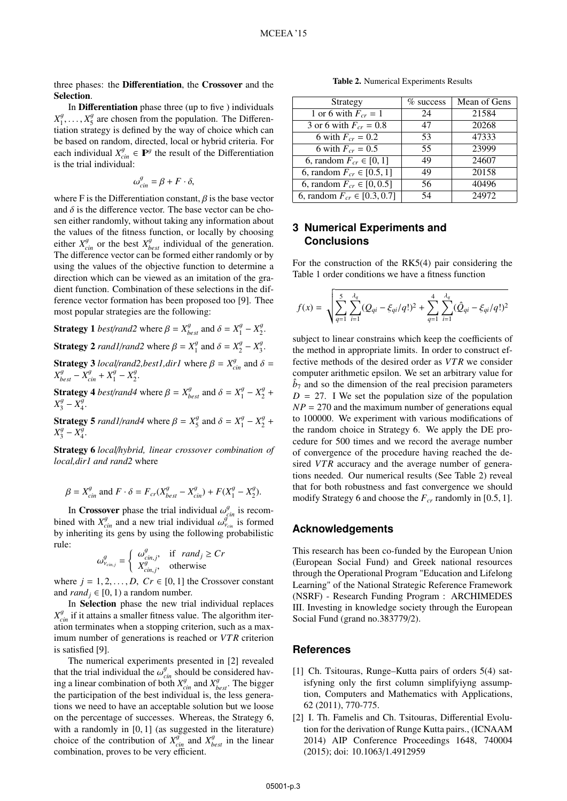three phases: the Differentiation, the Crossover and the Selection.

In Differentiation phase three (up to five ) individuals  $X_1^g$ , ...,  $X_5^g$  are chosen from the population. The Differentiation strategy is defined by the way of choice which can tiation strategy is defined by the way of choice which can be based on random, directed, local or hybrid criteria. For each individual  $X_{\text{cin}}^g \in \mathbb{P}^g$  the result of the Differentiation is the trial individual:

$$
\omega_{\rm cin}^g = \beta + F \cdot \delta,
$$

where F is the Differentiation constant,  $\beta$  is the base vector and  $\delta$  is the difference vector. The base vector can be chosen either randomly, without taking any information about the values of the fitness function, or locally by choosing either  $X_{cin}^g$  or the best  $X_{best}^g$  individual of the generation. The difference vector can be formed either randomly or by using the values of the objective function to determine a direction which can be viewed as an imitation of the gradient function. Combination of these selections in the difference vector formation has been proposed too [9]. Thee most popular strategies are the following:

**Strategy 1** *best/rand2* where  $\beta = X_{best}^g$  and  $\delta = X_1^g - X_2^g$ . **Strategy 2** *rand1/rand2* where  $\beta = X_1^g$  and  $\delta = X_2^g - X_3^g$ . **Strategy 3** *local/rand2, best1,dir1* where  $\beta = X_{cin}^g$  and  $\delta = X_g^g - X_g^g + X_g^g - X_g^g$ 

 $X_{best}^g - X_{cin}^g + X_1^g - X_2^g$ . **Strategy 4** *best/rand4* where  $\beta = X_{best}^g$  and  $\delta = X_1^g - X_2^g + Y_3^g - Y_3^g$  $X_3^g - X_4^g$ .

**Strategy 5** *rand1/rand4* where  $\beta = X_5^g$  and  $\delta = X_1^g - X_2^g + X_3^g - X_4^g$  $X_3^g - X_4^g$ .

Strategy 6 *local*/*hybrid, linear crossover combination of local,dir1 and rand2* where

$$
\beta = X_{cin}^g \text{ and } F \cdot \delta = F_{cr}(X_{best}^g - X_{cin}^g) + F(X_1^g - X_2^g).
$$

In **Crossover** phase the trial individual  $\omega_{cm}^g$  is recom-<br>ad with  $X^g$  and a new trial individual  $\omega_g^{gr}$  is formed bined with  $X_{cin}^g$  and a new trial individual  $\omega_{ic}^{g^m}$  is formed<br>by inheriting its gens by using the following probabilistic by inheriting its gens by using the following probabilistic rule:

$$
\omega_{v_{cin,j}}^g = \begin{cases} \omega_{cin,j}^g, & \text{if } rand_j \ge Cr \\ X_{cin,j}^g, & \text{otherwise} \end{cases}
$$

where  $j = 1, 2, ..., D$ ,  $Cr \in [0, 1]$  the Crossover constant and *rand*  $\in [0, 1]$  a random number and  $rand_i \in [0, 1)$  a random number.

In Selection phase the new trial individual replaces  $X_{\text{cin}}^g$  if it attains a smaller fitness value. The algorithm iteration terminates when a stopping criterion, such as a maximum number of generations is reached or *VTR* criterion is satisfied [9].

The numerical experiments presented in [2] revealed that the trial individual the  $\omega_{cm}^g$  should be considered hav-<br>ing a linear combination of both  $X^g$  and  $X^g$ . The bigger ing a linear combination of both  $X_{cin}^g$  and  $X_{best}^g$ . The bigger the participation of the best individual is, the less generations we need to have an acceptable solution but we loose on the percentage of successes. Whereas, the Strategy 6, with a randomly in [0, 1] (as suggested in the literature) choice of the contribution of  $X_{cin}^g$  and  $X_{best}^g$  in the linear combination, proves to be very efficient.

Table 2. Numerical Experiments Results

| Strategy                          | $\%$ success | Mean of Gens |
|-----------------------------------|--------------|--------------|
| 1 or 6 with $F_{cr} = 1$          | 24           | 21584        |
| 3 or 6 with $F_{cr} = 0.8$        | 47           | 20268        |
| 6 with $F_{cr} = 0.2$             | 53           | 47333        |
| 6 with $F_{cr} = 0.5$             | 55           | 23999        |
| 6, random $F_{cr} \in [0, 1]$     | 49           | 24607        |
| 6, random $F_{cr} \in [0.5, 1]$   | 49           | 20158        |
| 6, random $F_{cr} \in [0, 0.5]$   | 56           | 40496        |
| 6, random $F_{cr} \in [0.3, 0.7]$ | 54           | 24972        |
|                                   |              |              |

# **3 Numerical Experiments and Conclusions**

For the construction of the RK5(4) pair considering the Table 1 order conditions we have a fitness function

$$
f(x) = \sqrt{\sum_{q=1}^{5} \sum_{i=1}^{\lambda_q} (Q_{qi} - \xi_{qi}/q!)^2 + \sum_{q=1}^{4} \sum_{i=1}^{\lambda_q} (\hat{Q}_{qi} - \xi_{qi}/q!)^2}
$$

subject to linear constrains which keep the coefficients of the method in appropriate limits. In order to construct effective methods of the desired order as *VTR* we consider computer arithmetic epsilon. We set an arbitrary value for  $\hat{b}_7$  and so the dimension of the real precision parameters  $D = 27$ . I We set the population size of the population  $NP = 270$  and the maximum number of generations equal to 100000. We experiment with various modifications of the random choice in Strategy 6. We apply the DE procedure for 500 times and we record the average number of convergence of the procedure having reached the desired *VTR* accuracy and the average number of generations needed. Our numerical results (See Table 2) reveal that for both robustness and fast convergence we should modify Strategy 6 and choose the  $F_{cr}$  randomly in [0.5, 1].

## **Acknowledgements**

This research has been co-funded by the European Union (European Social Fund) and Greek national resources through the Operational Program "Education and Lifelong Learning" of the National Strategic Reference Framework (NSRF) - Research Funding Program : ARCHIMEDES III. Investing in knowledge society through the European Social Fund (grand no.383779/2).

# **References**

- [1] Ch. Tsitouras, Runge–Kutta pairs of orders 5(4) satisfyning only the first column simplifyiyng assumption, Computers and Mathematics with Applications, 62 (2011), 770-775.
- [2] I. Th. Famelis and Ch. Tsitouras, Differential Evolution for the derivation of Runge Kutta pairs., (ICNAAM 2014) AIP Conference Proceedings 1648, 740004 (2015); doi: 10.1063/1.4912959